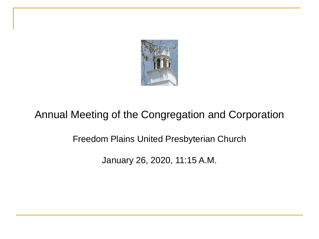

# Annual Meeting of the Congregation and Corporation

Freedom Plains United Presbyterian Church

January 26, 2020, 11:15 A.M.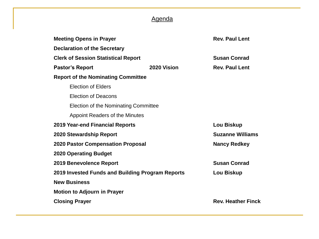### Agenda

| <b>Meeting Opens in Prayer</b>                   |             | <b>Rev. Paul Lent</b>     |  |  |
|--------------------------------------------------|-------------|---------------------------|--|--|
| <b>Declaration of the Secretary</b>              |             |                           |  |  |
| <b>Clerk of Session Statistical Report</b>       |             | <b>Susan Conrad</b>       |  |  |
| <b>Pastor's Report</b>                           | 2020 Vision | <b>Rev. Paul Lent</b>     |  |  |
| <b>Report of the Nominating Committee</b>        |             |                           |  |  |
| <b>Election of Elders</b>                        |             |                           |  |  |
| <b>Election of Deacons</b>                       |             |                           |  |  |
| Election of the Nominating Committee             |             |                           |  |  |
| Appoint Readers of the Minutes                   |             |                           |  |  |
| <b>2019 Year-end Financial Reports</b>           |             | Lou Biskup                |  |  |
| 2020 Stewardship Report                          |             | <b>Suzanne Williams</b>   |  |  |
| <b>2020 Pastor Compensation Proposal</b>         |             | <b>Nancy Redkey</b>       |  |  |
| <b>2020 Operating Budget</b>                     |             |                           |  |  |
| 2019 Benevolence Report                          |             | <b>Susan Conrad</b>       |  |  |
| 2019 Invested Funds and Building Program Reports |             | Lou Biskup                |  |  |
| <b>New Business</b>                              |             |                           |  |  |
| <b>Motion to Adjourn in Prayer</b>               |             |                           |  |  |
| <b>Closing Prayer</b>                            |             | <b>Rev. Heather Finck</b> |  |  |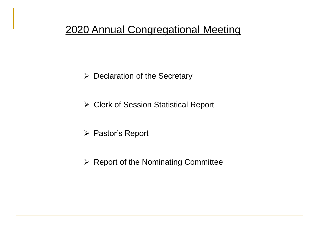$\triangleright$  Declaration of the Secretary

Clerk of Session Statistical Report

▶ Pastor's Report

 $\triangleright$  Report of the Nominating Committee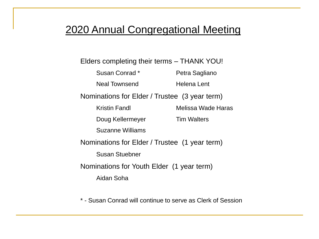Elders completing their terms – THANK YOU!

| Susan Conrad *                                | Petra Sagliano     |
|-----------------------------------------------|--------------------|
| <b>Neal Townsend</b>                          | Helena Lent        |
| Nominations for Elder / Trustee (3 year term) |                    |
| Kristin Fandl                                 | Melissa Wade Haras |
| Doug Kellermeyer                              | <b>Tim Walters</b> |
| <b>Suzanne Williams</b>                       |                    |
| Nominations for Elder / Trustee (1 year term) |                    |
| <b>Susan Stuebner</b>                         |                    |
| Nominations for Youth Elder (1 year term)     |                    |
| Aidan Soha                                    |                    |
|                                               |                    |

\* - Susan Conrad will continue to serve as Clerk of Session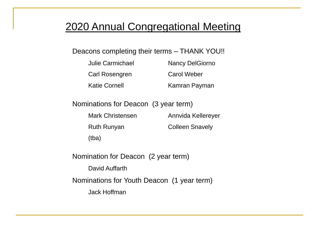#### Deacons completing their terms – THANK YOU!!

| Julie Carmichael     | <b>Nancy DelGiorno</b> |
|----------------------|------------------------|
| Carl Rosengren       | Carol Weber            |
| <b>Katie Cornell</b> | Kamran Payman          |

Nominations for Deacon (3 year term)

| <b>Mark Christensen</b> | Annvida Kellereyer     |
|-------------------------|------------------------|
| <b>Ruth Runyan</b>      | <b>Colleen Snavely</b> |
| (tba)                   |                        |

Nomination for Deacon (2 year term) David Auffarth Nominations for Youth Deacon (1 year term) Jack Hoffman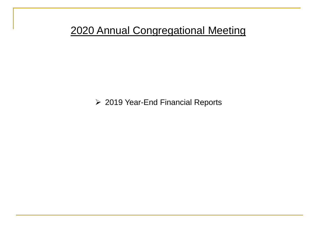2019 Year-End Financial Reports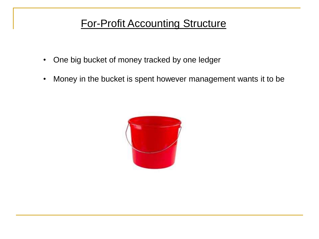# For-Profit Accounting Structure

- One big bucket of money tracked by one ledger
- Money in the bucket is spent however management wants it to be

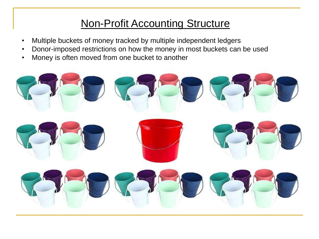# Non-Profit Accounting Structure

- Multiple buckets of money tracked by multiple independent ledgers
- Donor-imposed restrictions on how the money in most buckets can be used
- Money is often moved from one bucket to another

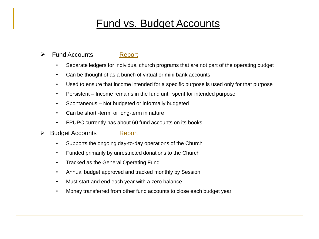# Fund vs. Budget Accounts

#### **Exercise Fund Accounts [Report](http://fppchurch.org/Announcements/2020AnnualMeetingMaterials/cfar_fy19.pdf)**

- Separate ledgers for individual church programs that are not part of the operating budget
- Can be thought of as a bunch of virtual or mini bank accounts
- Used to ensure that income intended for a specific purpose is used only for that purpose
- Persistent Income remains in the fund until spent for intended purpose
- Spontaneous Not budgeted or informally budgeted
- Can be short -term or long-term in nature
- FPUPC currently has about 60 fund accounts on its books
- **► Budget Accounts [Report](http://fppchurch.org/Announcements/2020AnnualMeetingMaterials/ch_tr_1219.pdf)** 
	- Supports the ongoing day-to-day operations of the Church
	- Funded primarily by unrestricted donations to the Church
	- Tracked as the General Operating Fund
	- Annual budget approved and tracked monthly by Session
	- Must start and end each year with a zero balance
	- Money transferred from other fund accounts to close each budget year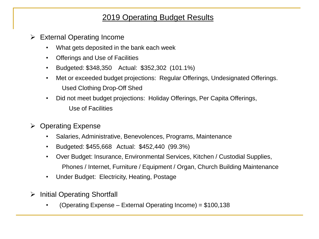### 2019 Operating Budget Results

- External Operating Income
	- What gets deposited in the bank each week
	- Offerings and Use of Facilities
	- Budgeted: \$348,350 Actual: \$352,302 (101.1%)
	- Met or exceeded budget projections: Regular Offerings, Undesignated Offerings. Used Clothing Drop-Off Shed
	- Did not meet budget projections: Holiday Offerings, Per Capita Offerings, Use of Facilities
- $\triangleright$  Operating Expense
	- Salaries, Administrative, Benevolences, Programs, Maintenance
	- Budgeted: \$455,668 Actual: \$452,440 (99.3%)
	- Over Budget: Insurance, Environmental Services, Kitchen / Custodial Supplies, Phones / Internet, Furniture / Equipment / Organ, Church Building Maintenance
	- Under Budget: Electricity, Heating, Postage
- $\triangleright$  Initial Operating Shortfall
	- (Operating Expense External Operating Income) = \$100,138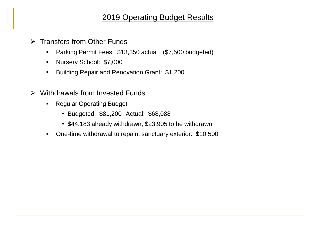### 2019 Operating Budget Results

- **▶ Transfers from Other Funds** 
	- **Parking Permit Fees: \$13,350 actual (\$7,500 budgeted)**
	- Nursery School: \$7,000
	- **Building Repair and Renovation Grant: \$1,200**
- $\triangleright$  Withdrawals from Invested Funds
	- Regular Operating Budget
		- Budgeted: \$81,200 Actual: \$68,088
		- \$44,183 already withdrawn, \$23,905 to be withdrawn
	- One-time withdrawal to repaint sanctuary exterior: \$10,500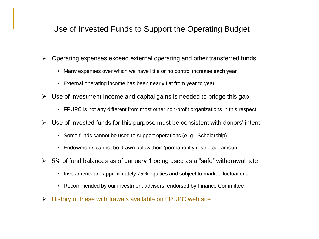### Use of Invested Funds to Support the Operating Budget

- Operating expenses exceed external operating and other transferred funds
	- Many expenses over which we have little or no control increase each year
	- External operating income has been nearly flat from year to year
- $\triangleright$  Use of investment Income and capital gains is needed to bridge this gap
	- FPUPC is not any different from most other non-profit organizations in this respect
- $\triangleright$  Use of invested funds for this purpose must be consistent with donors' intent
	- Some funds cannot be used to support operations (e. g., Scholarship)
	- Endowments cannot be drawn below their "permanently restricted" amount
- $\geq 5\%$  of fund balances as of January 1 being used as a "safe" withdrawal rate
	- Investments are approximately 75% equities and subject to market fluctuations
	- Recommended by our investment advisors, endorsed by Finance Committee
- $\triangleright$  [History of these withdrawals available on FPUPC web site](http://fppchurch.org/Announcements/2020AnnualMeetingMaterials/inv_to_budget_2020.pdf)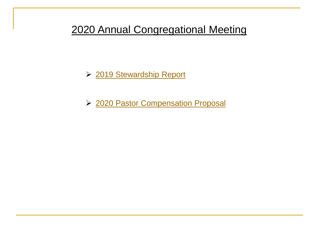▶ [2019 Stewardship Report](http://fppchurch.org/Announcements/2020AnnualMeetingMaterials/pledge_2020.pdf)

▶ [2020 Pastor Compensation Proposal](http://fppchurch.org/Announcements/2020AnnualMeetingMaterials/salary_2020.pdf)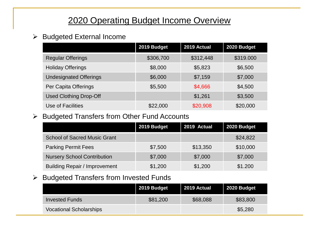### 2020 Operating Budget Income Overview

#### $\triangleright$  Budgeted External Income

|                               | 2019 Budget | 2019 Actual | 2020 Budget |
|-------------------------------|-------------|-------------|-------------|
| <b>Regular Offerings</b>      | \$306,700   | \$312,448   | \$319.000   |
| <b>Holiday Offerings</b>      | \$8,000     | \$5,823     | \$6,500     |
| <b>Undesignated Offerings</b> | \$6,000     | \$7,159     | \$7,000     |
| Per Capita Offerings          | \$5,500     | \$4,666     | \$4,500     |
| <b>Used Clothing Drop-Off</b> |             | \$1,261     | \$3,500     |
| Use of Facilities             | \$22,000    | \$20,908    | \$20,000    |

#### $\triangleright$  Budgeted Transfers from Other Fund Accounts

|                                      | 2019 Budget | 2019 Actual | 2020 Budget |
|--------------------------------------|-------------|-------------|-------------|
| <b>School of Sacred Music Grant</b>  |             |             | \$24,822    |
| <b>Parking Permit Fees</b>           | \$7,500     | \$13,350    | \$10,000    |
| <b>Nursery School Contribution</b>   | \$7,000     | \$7,000     | \$7,000     |
| <b>Building Repair / Improvement</b> | \$1,200     | \$1,200     | \$1.200     |

#### $\triangleright$  Budgeted Transfers from Invested Funds

|                                | 2019 Budget | 2019 Actual | 2020 Budget |
|--------------------------------|-------------|-------------|-------------|
| <b>Invested Funds</b>          | \$81,200    | \$68,088    | \$83,800    |
| <b>Vocational Scholarships</b> |             |             | \$5,280     |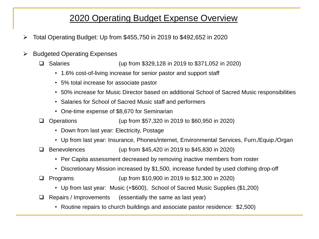### 2020 Operating Budget Expense Overview

- $\triangleright$  Total Operating Budget: Up from \$455,750 in 2019 to \$492,652 in 2020
- $\triangleright$  Budgeted Operating Expenses
	- □ Salaries (up from \$329,128 in 2019 to \$371,052 in 2020)
		- 1.6% cost-of-living increase for senior pastor and support staff
		- 5% total increase for associate pastor
		- 50% increase for Music Director based on additional School of Sacred Music responsibilities
		- Salaries for School of Sacred Music staff and performers
		- One-time expense of \$8,670 for Seminarian
	- Operations (up from \$57,320 in 2019 to \$60,950 in 2020)
		- Down from last year: Electricity, Postage
		- Up from last year: Insurance, Phones/internet, Environmental Services, Furn./Equip./Organ
	- Benevolences (up from \$45,420 in 2019 to \$45,830 in 2020)
		- Per Capita assessment decreased by removing inactive members from roster
		- Discretionary Mission increased by \$1,500, increase funded by used clothing drop-off
	- Programs (up from \$10,900 in 2019 to \$12,300 in 2020)
		- Up from last year: Music (+\$600), School of Sacred Music Supplies (\$1,200)
	- $\Box$  Repairs / Improvements (essentially the same as last year)
		- Routine repairs to church buildings and associate pastor residence: \$2,500)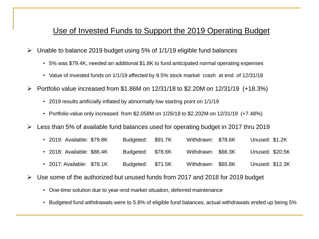#### Use of Invested Funds to Support the 2019 Operating Budget

- $\triangleright$  Unable to balance 2019 budget using 5% of 1/1/19 eligible fund balances
	- 5% was \$79.4K, needed an additional \$1.8K to fund anticipated normal operating expenses
	- Value of invested funds on 1/1/19 affected by 9.5% stock market crash at end of 12/31/18
- $\triangleright$  Portfolio value increased from \$1.86M on 12/31/18 to \$2.20M on 12/31/19 (+18.3%)
	- 2019 results artificially inflated by abnormally low starting point on 1/1/19
	- Portfolio value only increased from \$2.058M on 1/26/18 to \$2.202M on 12/31/19 (+7.48%)
- $\triangleright$  Less than 5% of available fund balances used for operating budget in 2017 thru 2019
	- 2019: Available: \$79.8K Budgeted: \$91.7K Withdrawn: \$78.6K Unused: \$1.2K
	- 2018: Available: \$86.4K Budgeted: \$78.6K Withdrawn: \$66.3K Unused: \$20.5K
	- 2017: Available: \$78.1K Budgeted: \$71.5K Withdrawn: \$65.8K Unused: \$12.3K
- Use some of the authorized but unused funds from 2017 and 2018 for 2019 budget
	- One-time solution due to year-end market situation, deferred maintenance
	- Budgeted fund withdrawals were to 5.8% of eligible fund balances, actual withdrawals ended up being 5%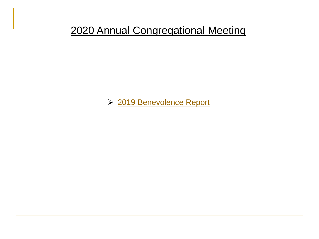▶ [2019 Benevolence Report](http://fppchurch.org/Announcements/2019AnnualMeetingMaterials/benev_2018.pdf)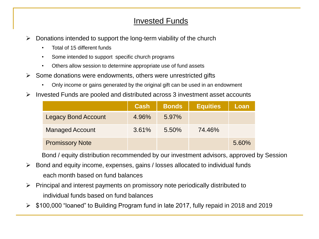#### Invested Funds

- $\triangleright$  Donations intended to support the long-term viability of the church
	- Total of 15 different funds
	- Some intended to support specific church programs
	- Others allow session to determine appropriate use of fund assets
- $\triangleright$  Some donations were endowments, others were unrestricted gifts
	- Only income or gains generated by the original gift can be used in an endowment
- $\triangleright$  Invested Funds are pooled and distributed across 3 investment asset accounts

|                            | <b>Cash</b> | <b>Bonds</b> | <b>Equities</b> | Loan  |
|----------------------------|-------------|--------------|-----------------|-------|
| <b>Legacy Bond Account</b> | 4.96%       | $5.97\%$     |                 |       |
| <b>Managed Account</b>     | 3.61%       | 5.50%        | 74.46%          |       |
| <b>Promissory Note</b>     |             |              |                 | 5.60% |

Bond / equity distribution recommended by our investment advisors, approved by Session

- $\triangleright$  Bond and equity income, expenses, gains / losses allocated to individual funds each month based on fund balances
- $\triangleright$  Principal and interest payments on promissory note periodically distributed to individual funds based on fund balances
- $\triangleright$  \$100,000 "loaned" to Building Program fund in late 2017, fully repaid in 2018 and 2019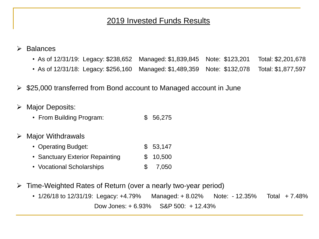#### 2019 Invested Funds Results

- Balances
	- As of 12/31/19: Legacy: \$238,652 Managed: \$1,839,845 Note: \$123,201 Total: \$2,201,678
	- As of 12/31/18: Legacy: \$256,160 Managed: \$1,489,359 Note: \$132,078 Total: \$1,877,597
- $\triangleright$  \$25,000 transferred from Bond account to Managed account in June
- > Major Deposits:
	- From Building Program:  $$56,275$
- $\triangleright$  Major Withdrawals
	- Operating Budget:  $$53,147$
	- Sanctuary Exterior Repainting  $$ 10,500$
	- Vocational Scholarships  $$7,050$
- Time-Weighted Rates of Return (over a nearly two-year period)
	- $1/26/18$  to  $12/31/19$ : Legacy:  $+4.79\%$  Managed:  $+8.02\%$  Note:  $-12.35\%$  Total  $+7.48\%$ Dow Jones: + 6.93% S&P 500: + 12.43%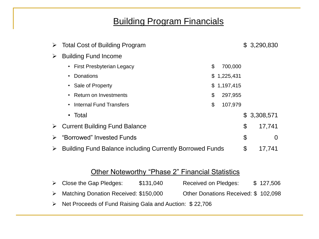### Building Program Financials

|                       | $\triangleright$ Total Cost of Building Program                 |                 |    | \$3,290,830 |
|-----------------------|-----------------------------------------------------------------|-----------------|----|-------------|
| ➤                     | <b>Building Fund Income</b>                                     |                 |    |             |
|                       | • First Presbyterian Legacy                                     | \$<br>700,000   |    |             |
|                       | <b>Donations</b><br>$\bullet$                                   | \$<br>1,225,431 |    |             |
|                       | • Sale of Property                                              | \$1,197,415     |    |             |
|                       | • Return on Investments                                         | \$<br>297,955   |    |             |
|                       | <b>Internal Fund Transfers</b><br>$\bullet$                     | \$<br>107,979   |    |             |
|                       | $\cdot$ Total                                                   |                 |    | \$3,308,571 |
|                       | $\triangleright$ Current Building Fund Balance                  |                 | \$ | 17,741      |
| $\blacktriangleright$ | "Borrowed" Invested Funds                                       |                 | \$ | 0           |
| $\blacktriangleright$ | <b>Building Fund Balance including Currently Borrowed Funds</b> |                 | \$ | 17,741      |

#### Other Noteworthy "Phase 2" Financial Statistics

| $\triangleright$ Close the Gap Pledges:                                  | \$131,040 | <b>Received on Pledges:</b>         | \$127,506 |
|--------------------------------------------------------------------------|-----------|-------------------------------------|-----------|
| Matching Donation Received: \$150,000                                    |           | Other Donations Received: \$102,098 |           |
| $\triangleright$ Net Proceeds of Fund Raising Gala and Auction: \$22,706 |           |                                     |           |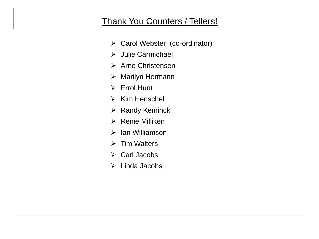### Thank You Counters / Tellers!

- Carol Webster (co-ordinator)
- Julie Carmichael
- $\triangleright$  Arne Christensen
- Marilyn Hermann
- $\triangleright$  Errol Hunt
- $\triangleright$  Kim Henschel
- $\triangleright$  Randy Keminck
- $\triangleright$  Renie Milliken
- $\triangleright$  Ian Williamson
- $\triangleright$  Tim Walters
- Carl Jacobs
- $\triangleright$  Linda Jacobs